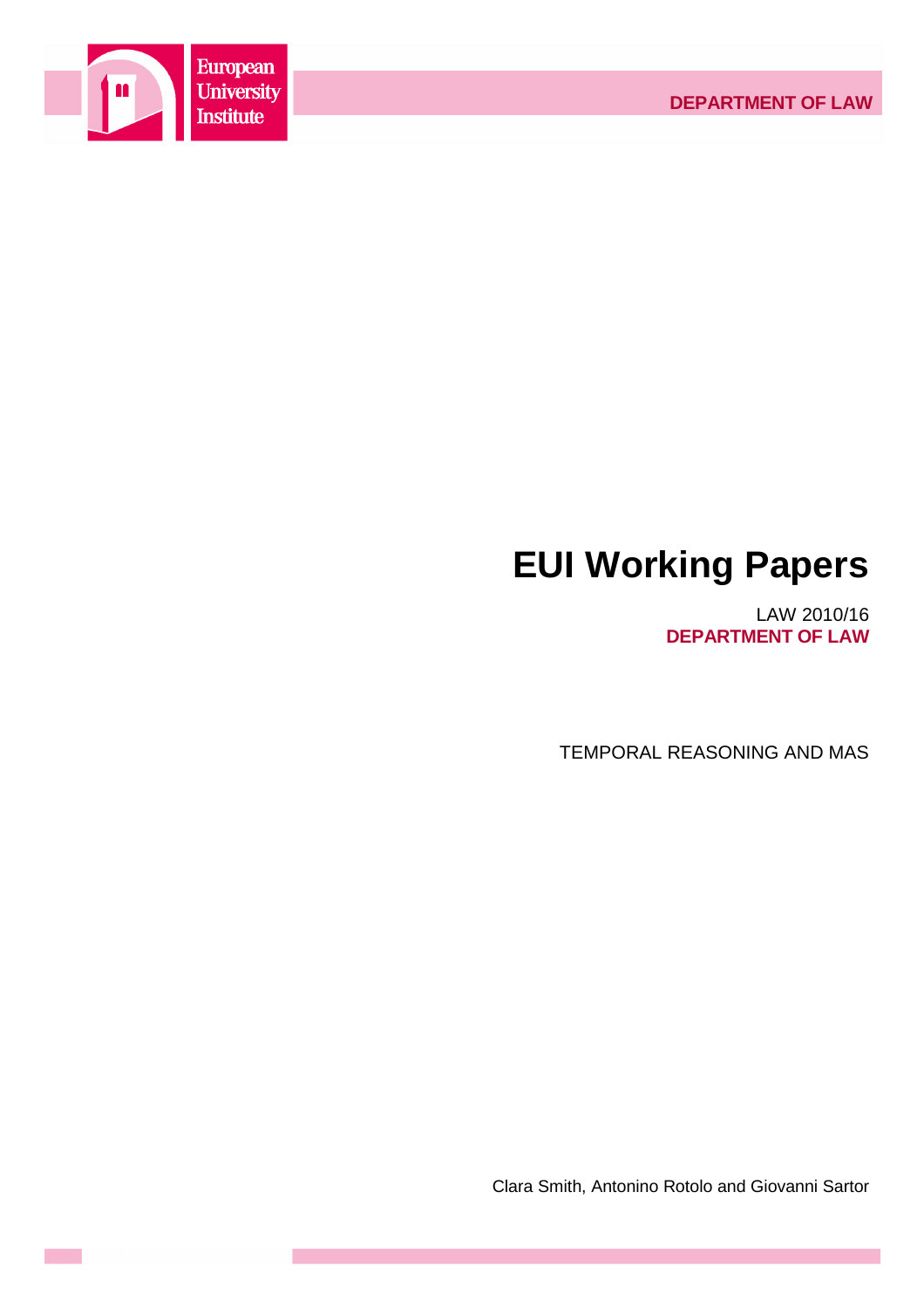

# **EUI Working Papers**

LAW 2010/16 **DEPARTMENT OF LAW**

TEMPORAL REASONING AND MAS

Clara Smith, Antonino Rotolo and Giovanni Sartor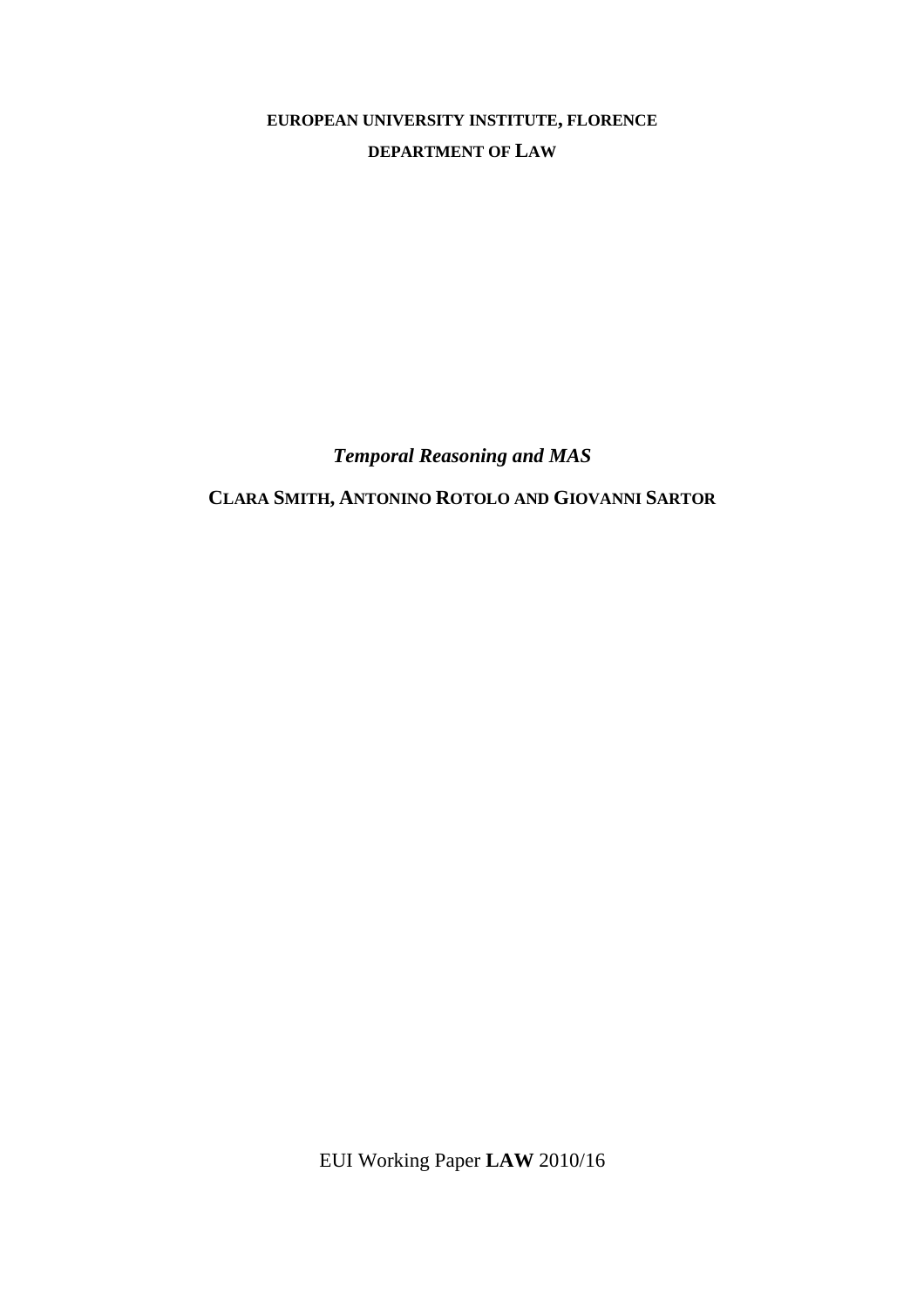**EUROPEAN UNIVERSITY INSTITUTE, FLORENCE DEPARTMENT OF LAW**

*Temporal Reasoning and MAS* 

**CLARA SMITH, ANTONINO ROTOLO AND GIOVANNI SARTOR**

EUI Working Paper **LAW** 2010/16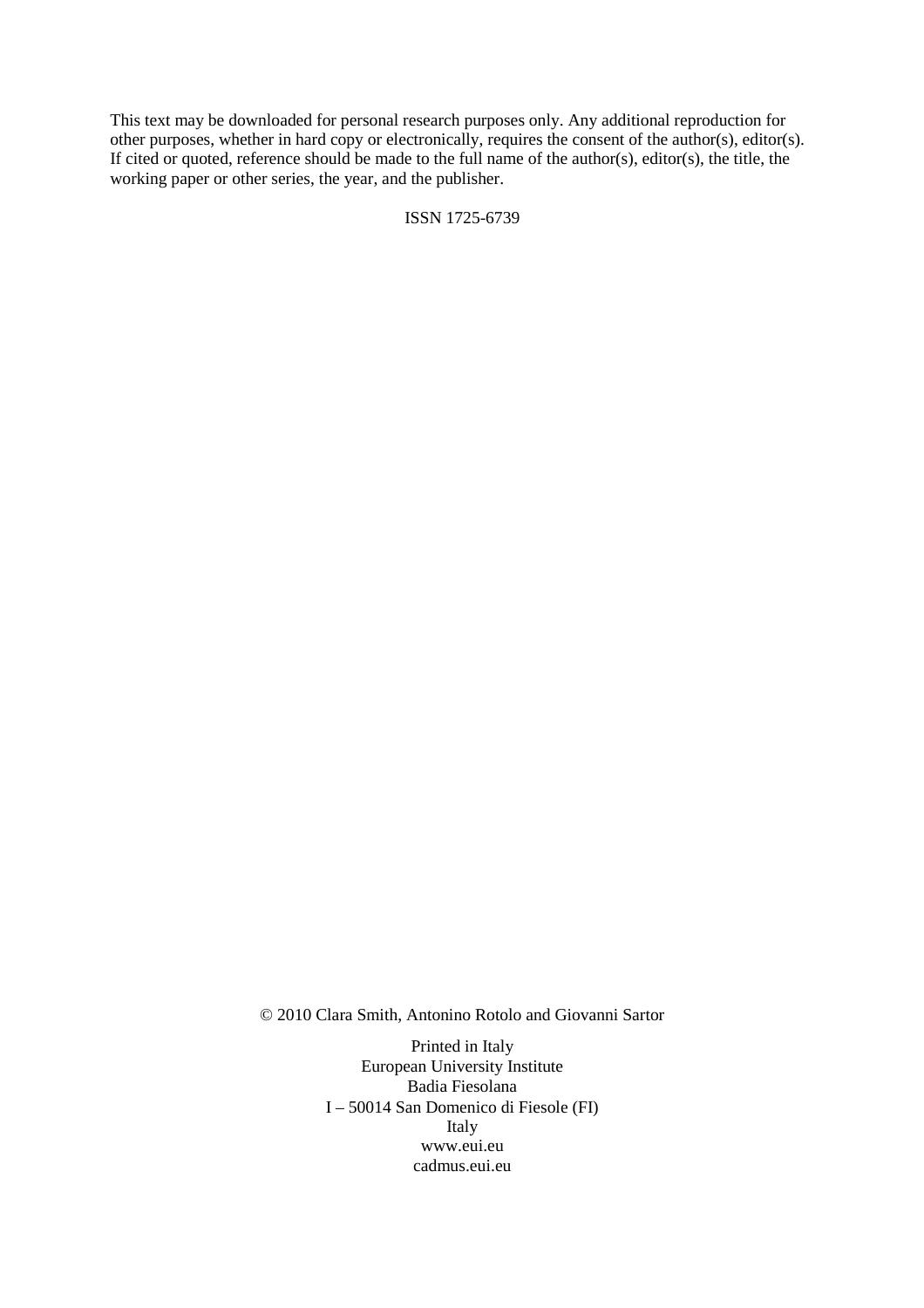This text may be downloaded for personal research purposes only. Any additional reproduction for other purposes, whether in hard copy or electronically, requires the consent of the author(s), editor(s). If cited or quoted, reference should be made to the full name of the author(s), editor(s), the title, the working paper or other series, the year, and the publisher.

ISSN 1725-6739

© 2010 Clara Smith, Antonino Rotolo and Giovanni Sartor

Printed in Italy European University Institute Badia Fiesolana I – 50014 San Domenico di Fiesole (FI) Italy www.eui.eu cadmus.eui.eu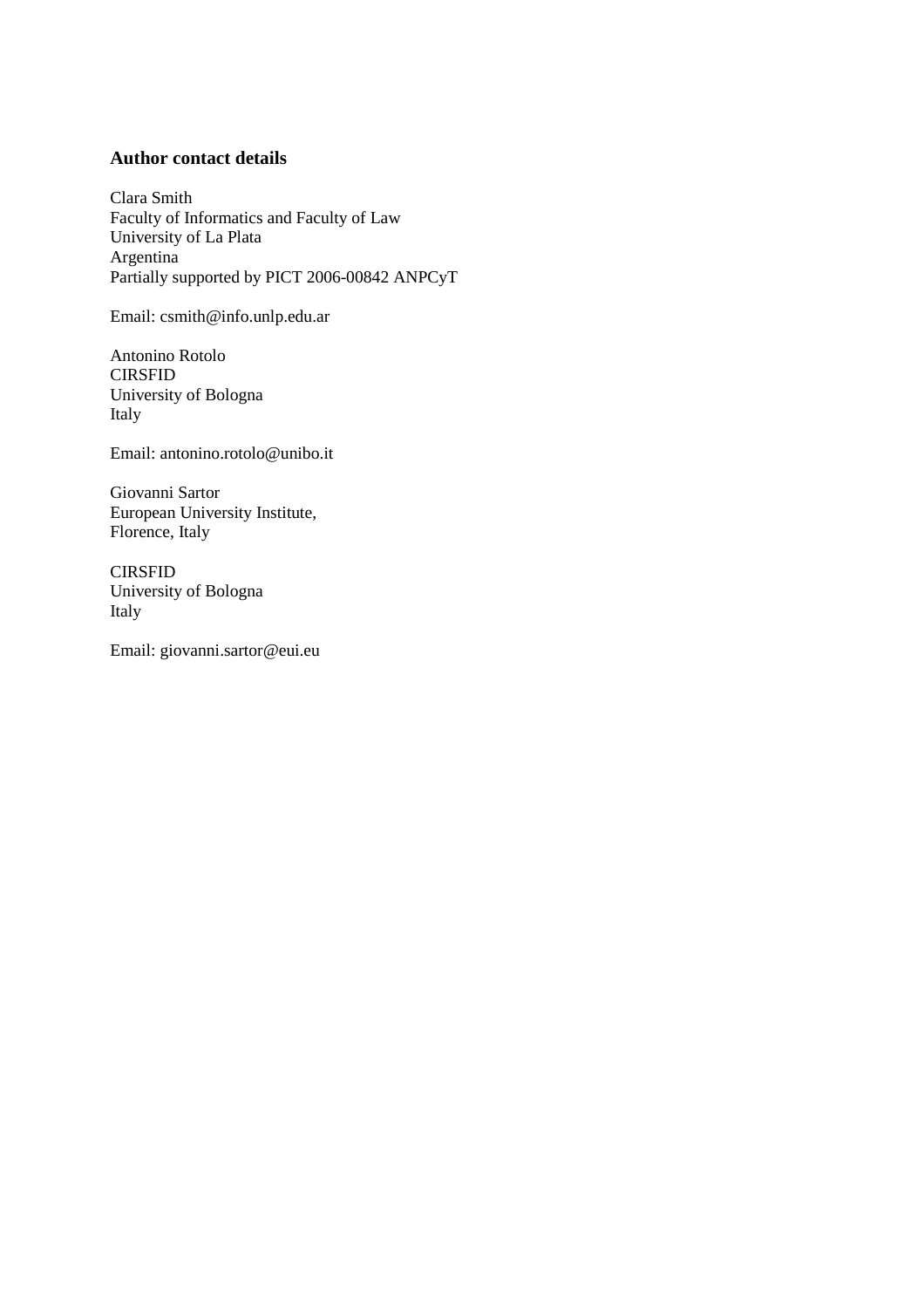## **Author contact details**

Clara Smith Faculty of Informatics and Faculty of Law University of La Plata Argentina Partially supported by PICT 2006-00842 ANPCyT

Email: csmith@info.unlp.edu.ar

Antonino Rotolo CIRSFID University of Bologna Italy

Email: antonino.rotolo@unibo.it

Giovanni Sartor European University Institute, Florence, Italy

CIRSFID University of Bologna Italy

Email: giovanni.sartor@eui.eu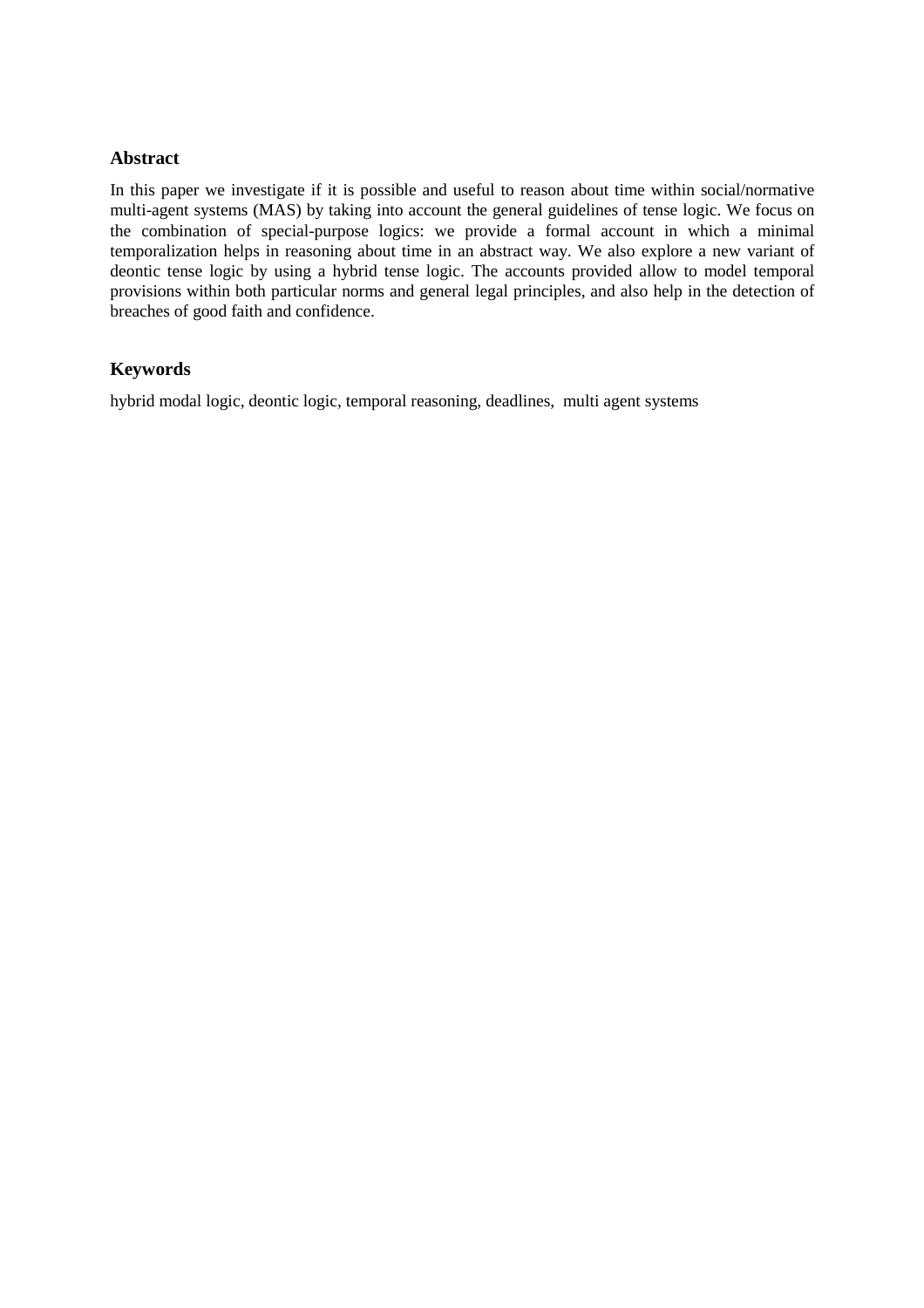## **Abstract**

In this paper we investigate if it is possible and useful to reason about time within social/normative multi-agent systems (MAS) by taking into account the general guidelines of tense logic. We focus on the combination of special-purpose logics: we provide a formal account in which a minimal temporalization helps in reasoning about time in an abstract way. We also explore a new variant of deontic tense logic by using a hybrid tense logic. The accounts provided allow to model temporal provisions within both particular norms and general legal principles, and also help in the detection of breaches of good faith and confidence.

## **Keywords**

hybrid modal logic, deontic logic, temporal reasoning, deadlines, multi agent systems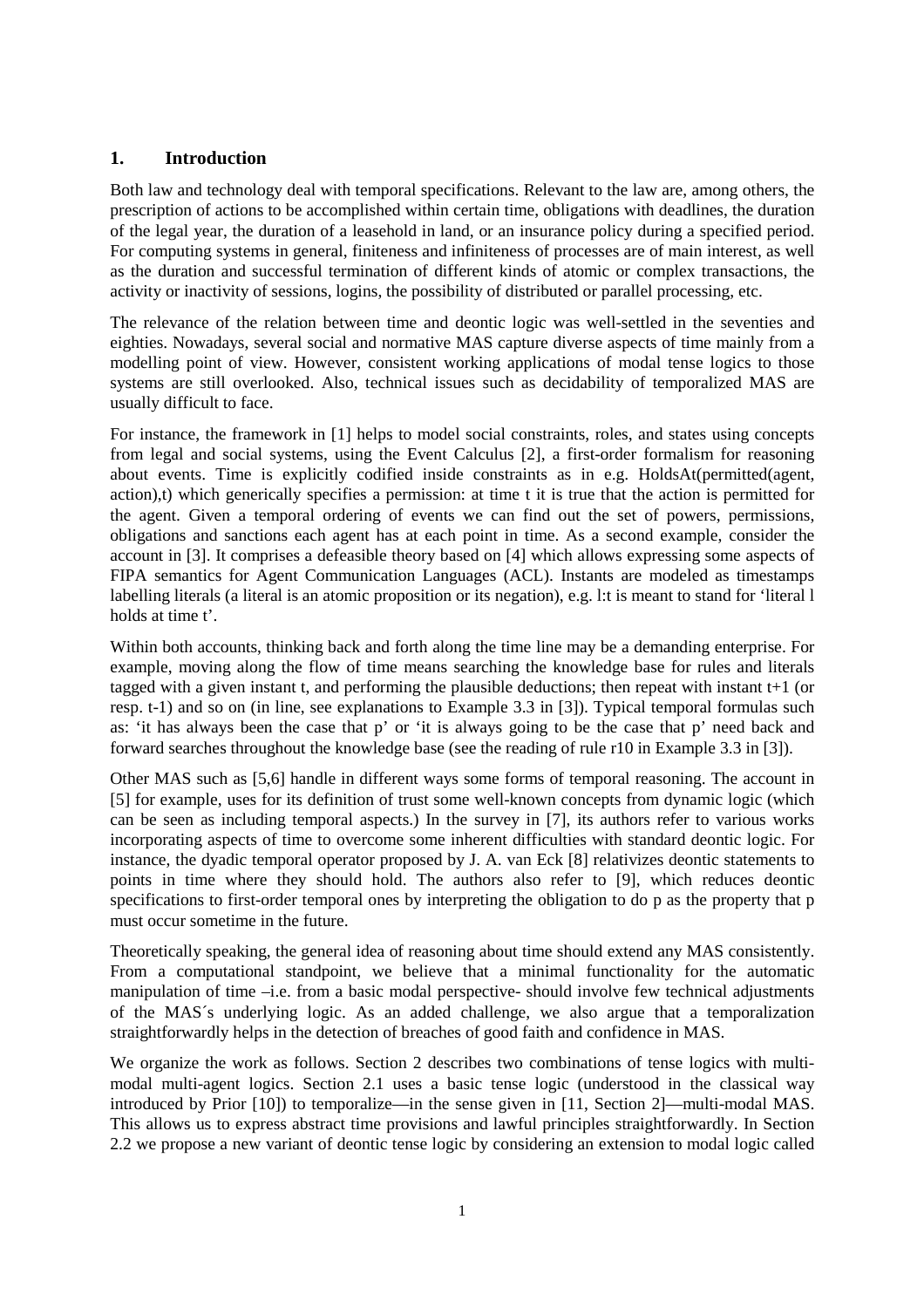## **1. Introduction**

Both law and technology deal with temporal specifications. Relevant to the law are, among others, the prescription of actions to be accomplished within certain time, obligations with deadlines, the duration of the legal year, the duration of a leasehold in land, or an insurance policy during a specified period. For computing systems in general, finiteness and infiniteness of processes are of main interest, as well as the duration and successful termination of different kinds of atomic or complex transactions, the activity or inactivity of sessions, logins, the possibility of distributed or parallel processing, etc.

The relevance of the relation between time and deontic logic was well-settled in the seventies and eighties. Nowadays, several social and normative MAS capture diverse aspects of time mainly from a modelling point of view. However, consistent working applications of modal tense logics to those systems are still overlooked. Also, technical issues such as decidability of temporalized MAS are usually difficult to face.

For instance, the framework in [1] helps to model social constraints, roles, and states using concepts from legal and social systems, using the Event Calculus [2], a first-order formalism for reasoning about events. Time is explicitly codified inside constraints as in e.g. HoldsAt(permitted(agent, action),t) which generically specifies a permission: at time t it is true that the action is permitted for the agent. Given a temporal ordering of events we can find out the set of powers, permissions, obligations and sanctions each agent has at each point in time. As a second example, consider the account in [3]. It comprises a defeasible theory based on [4] which allows expressing some aspects of FIPA semantics for Agent Communication Languages (ACL). Instants are modeled as timestamps labelling literals (a literal is an atomic proposition or its negation), e.g. 1:t is meant to stand for 'literal l holds at time t'.

Within both accounts, thinking back and forth along the time line may be a demanding enterprise. For example, moving along the flow of time means searching the knowledge base for rules and literals tagged with a given instant t, and performing the plausible deductions; then repeat with instant t+1 (or resp. t-1) and so on (in line, see explanations to Example 3.3 in [3]). Typical temporal formulas such as: 'it has always been the case that p' or 'it is always going to be the case that p' need back and forward searches throughout the knowledge base (see the reading of rule r10 in Example 3.3 in [3]).

Other MAS such as [5,6] handle in different ways some forms of temporal reasoning. The account in [5] for example, uses for its definition of trust some well-known concepts from dynamic logic (which can be seen as including temporal aspects.) In the survey in [7], its authors refer to various works incorporating aspects of time to overcome some inherent difficulties with standard deontic logic. For instance, the dyadic temporal operator proposed by J. A. van Eck [8] relativizes deontic statements to points in time where they should hold. The authors also refer to [9], which reduces deontic specifications to first-order temporal ones by interpreting the obligation to do p as the property that p must occur sometime in the future.

Theoretically speaking, the general idea of reasoning about time should extend any MAS consistently. From a computational standpoint, we believe that a minimal functionality for the automatic manipulation of time –i.e. from a basic modal perspective- should involve few technical adjustments of the MAS´s underlying logic. As an added challenge, we also argue that a temporalization straightforwardly helps in the detection of breaches of good faith and confidence in MAS.

We organize the work as follows. Section 2 describes two combinations of tense logics with multimodal multi-agent logics. Section 2.1 uses a basic tense logic (understood in the classical way introduced by Prior [10]) to temporalize—in the sense given in [11, Section 2]—multi-modal MAS. This allows us to express abstract time provisions and lawful principles straightforwardly. In Section 2.2 we propose a new variant of deontic tense logic by considering an extension to modal logic called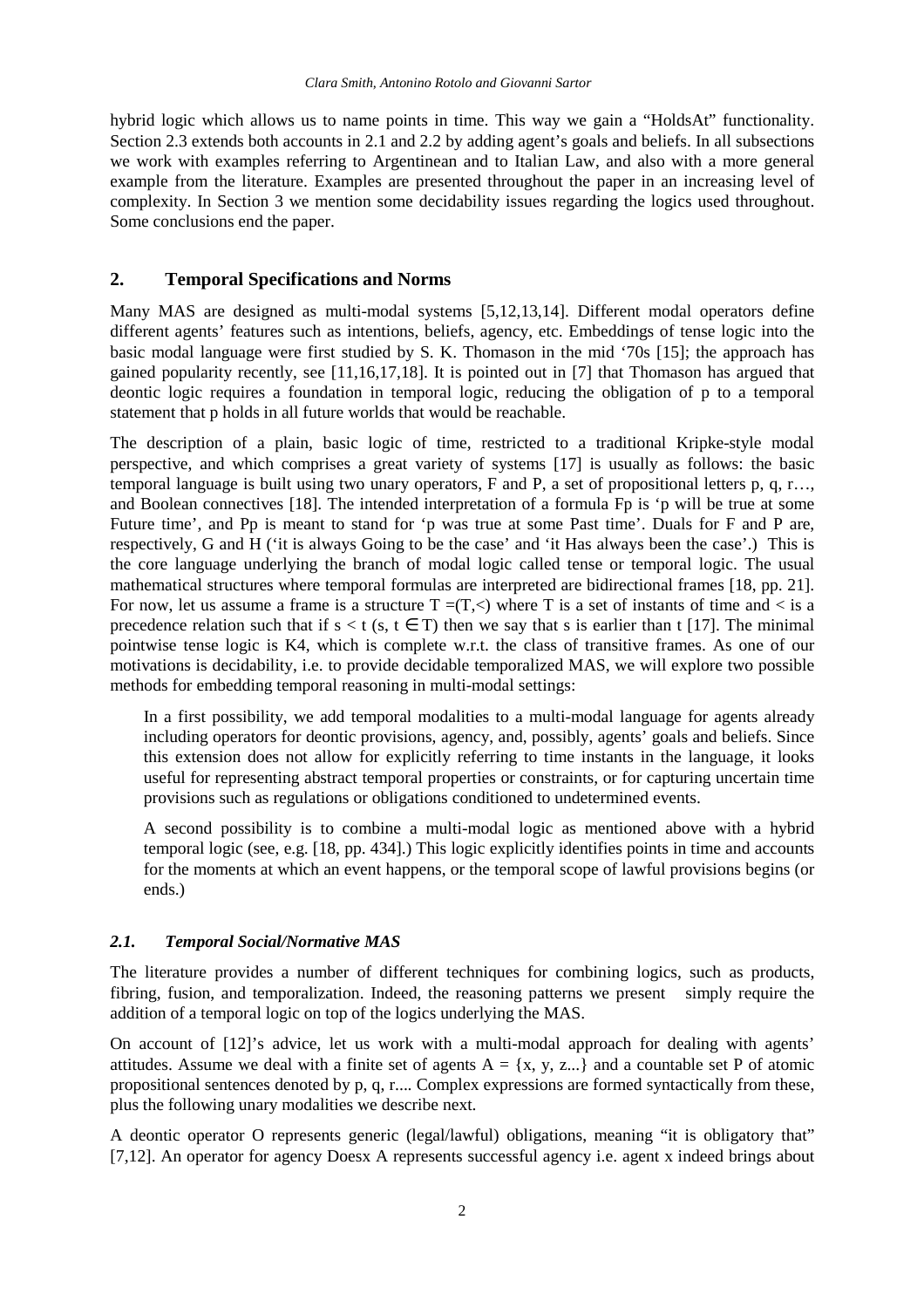hybrid logic which allows us to name points in time. This way we gain a "HoldsAt" functionality. Section 2.3 extends both accounts in 2.1 and 2.2 by adding agent's goals and beliefs. In all subsections we work with examples referring to Argentinean and to Italian Law, and also with a more general example from the literature. Examples are presented throughout the paper in an increasing level of complexity. In Section 3 we mention some decidability issues regarding the logics used throughout. Some conclusions end the paper.

## **2. Temporal Specifications and Norms**

Many MAS are designed as multi-modal systems [5,12,13,14]. Different modal operators define different agents' features such as intentions, beliefs, agency, etc. Embeddings of tense logic into the basic modal language were first studied by S. K. Thomason in the mid '70s [15]; the approach has gained popularity recently, see [11,16,17,18]. It is pointed out in [7] that Thomason has argued that deontic logic requires a foundation in temporal logic, reducing the obligation of p to a temporal statement that p holds in all future worlds that would be reachable.

The description of a plain, basic logic of time, restricted to a traditional Kripke-style modal perspective, and which comprises a great variety of systems [17] is usually as follows: the basic temporal language is built using two unary operators, F and P, a set of propositional letters p, q, r…, and Boolean connectives [18]. The intended interpretation of a formula Fp is 'p will be true at some Future time', and Pp is meant to stand for 'p was true at some Past time'. Duals for F and P are, respectively, G and H ('it is always Going to be the case' and 'it Has always been the case'.) This is the core language underlying the branch of modal logic called tense or temporal logic. The usual mathematical structures where temporal formulas are interpreted are bidirectional frames [18, pp. 21]. For now, let us assume a frame is a structure  $T = (T, \leq)$  where T is a set of instants of time and  $\leq$  is a precedence relation such that if  $s < t$  (s,  $t \in T$ ) then we say that s is earlier than t [17]. The minimal pointwise tense logic is K4, which is complete w.r.t. the class of transitive frames. As one of our motivations is decidability, i.e. to provide decidable temporalized MAS, we will explore two possible methods for embedding temporal reasoning in multi-modal settings:

In a first possibility, we add temporal modalities to a multi-modal language for agents already including operators for deontic provisions, agency, and, possibly, agents' goals and beliefs. Since this extension does not allow for explicitly referring to time instants in the language, it looks useful for representing abstract temporal properties or constraints, or for capturing uncertain time provisions such as regulations or obligations conditioned to undetermined events.

A second possibility is to combine a multi-modal logic as mentioned above with a hybrid temporal logic (see, e.g. [18, pp. 434].) This logic explicitly identifies points in time and accounts for the moments at which an event happens, or the temporal scope of lawful provisions begins (or ends.)

#### *2.1. Temporal Social/Normative MAS*

The literature provides a number of different techniques for combining logics, such as products, fibring, fusion, and temporalization. Indeed, the reasoning patterns we present simply require the addition of a temporal logic on top of the logics underlying the MAS.

On account of [12]'s advice, let us work with a multi-modal approach for dealing with agents' attitudes. Assume we deal with a finite set of agents  $A = \{x, y, z...\}$  and a countable set P of atomic propositional sentences denoted by p, q, r.... Complex expressions are formed syntactically from these, plus the following unary modalities we describe next.

A deontic operator O represents generic (legal/lawful) obligations, meaning "it is obligatory that" [7,12]. An operator for agency Doesx A represents successful agency i.e. agent x indeed brings about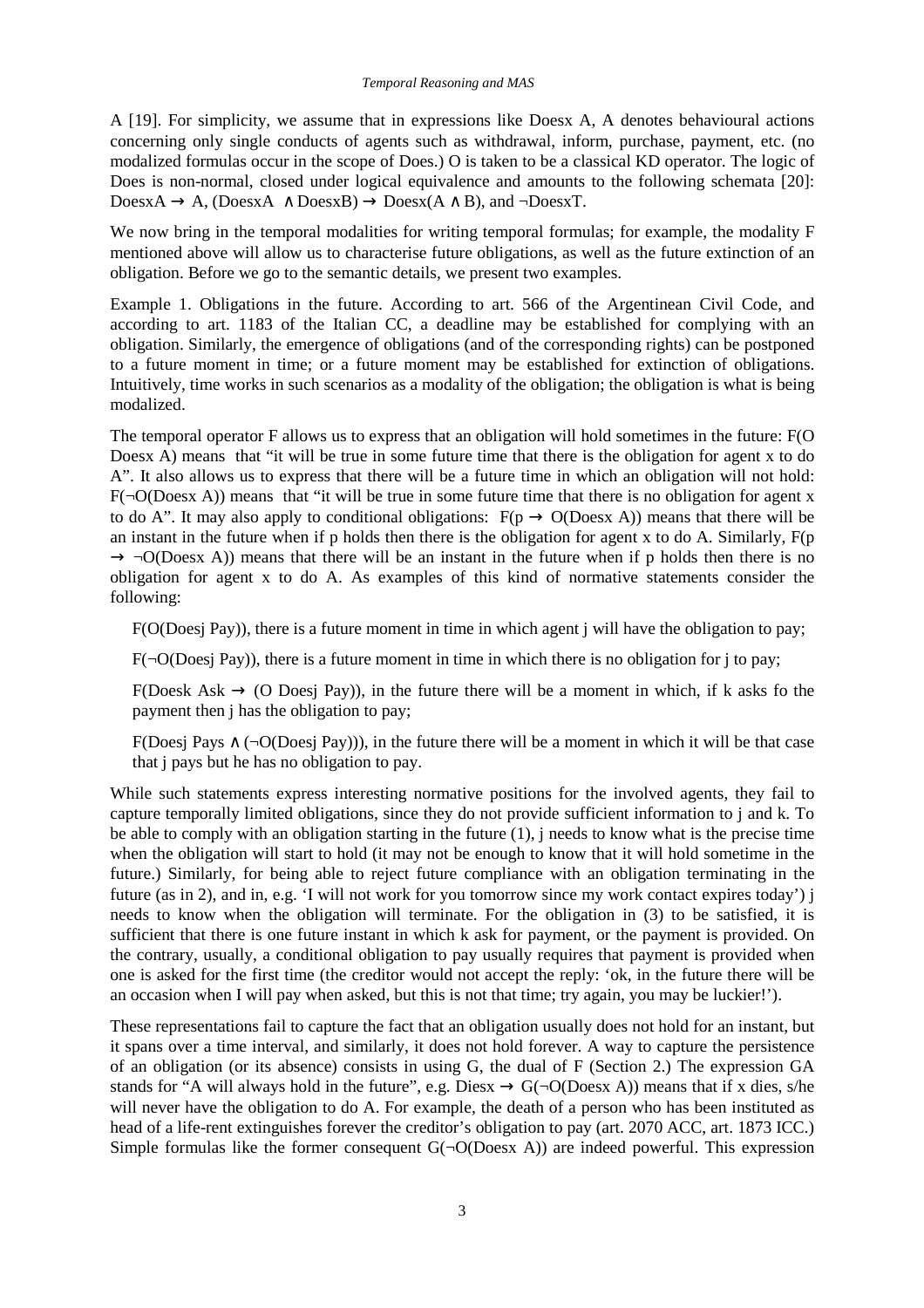A [19]. For simplicity, we assume that in expressions like Doesx A, A denotes behavioural actions concerning only single conducts of agents such as withdrawal, inform, purchase, payment, etc. (no modalized formulas occur in the scope of Does.) O is taken to be a classical KD operator. The logic of Does is non-normal, closed under logical equivalence and amounts to the following schemata [20]:  $Does X \rightarrow A$ ,  $(Does X \land Does X \rightarrow Does X \land \neg Does X \land \neg Does X \land \neg Does X \land \neg Does X \land \neg Does X \land \neg Does X \land \neg Does X \land \neg Does X \land \neg Does X \land \neg Does X \land \neg Does X \land \neg Does X \land \neg Does X \land \neg$ 

We now bring in the temporal modalities for writing temporal formulas; for example, the modality F mentioned above will allow us to characterise future obligations, as well as the future extinction of an obligation. Before we go to the semantic details, we present two examples.

Example 1. Obligations in the future. According to art. 566 of the Argentinean Civil Code, and according to art. 1183 of the Italian CC, a deadline may be established for complying with an obligation. Similarly, the emergence of obligations (and of the corresponding rights) can be postponed to a future moment in time; or a future moment may be established for extinction of obligations. Intuitively, time works in such scenarios as a modality of the obligation; the obligation is what is being modalized.

The temporal operator F allows us to express that an obligation will hold sometimes in the future: F(O Doesx A) means that "it will be true in some future time that there is the obligation for agent x to do A". It also allows us to express that there will be a future time in which an obligation will not hold:  $F(\neg O(Doesx A))$  means that "it will be true in some future time that there is no obligation for agent x to do A". It may also apply to conditional obligations:  $F(p \rightarrow O(Doesx A))$  means that there will be an instant in the future when if p holds then there is the obligation for agent x to do A. Similarly, F(p  $\rightarrow \neg O(Doesx \text{ A})$  means that there will be an instant in the future when if p holds then there is no obligation for agent x to do A. As examples of this kind of normative statements consider the following:

F(O(Doesj Pay)), there is a future moment in time in which agent j will have the obligation to pay;

 $F(\neg O(Doesi Pay))$ , there is a future moment in time in which there is no obligation for j to pay;

F(Doesk Ask  $\rightarrow$  (O Doesj Pay)), in the future there will be a moment in which, if k asks fo the payment then j has the obligation to pay;

 F(Doesj Pays ∧ (¬O(Doesj Pay))), in the future there will be a moment in which it will be that case that j pays but he has no obligation to pay.

While such statements express interesting normative positions for the involved agents, they fail to capture temporally limited obligations, since they do not provide sufficient information to j and k. To be able to comply with an obligation starting in the future (1), j needs to know what is the precise time when the obligation will start to hold (it may not be enough to know that it will hold sometime in the future.) Similarly, for being able to reject future compliance with an obligation terminating in the future (as in 2), and in, e.g. 'I will not work for you tomorrow since my work contact expires today') j needs to know when the obligation will terminate. For the obligation in (3) to be satisfied, it is sufficient that there is one future instant in which k ask for payment, or the payment is provided. On the contrary, usually, a conditional obligation to pay usually requires that payment is provided when one is asked for the first time (the creditor would not accept the reply: 'ok, in the future there will be an occasion when I will pay when asked, but this is not that time; try again, you may be luckier!').

These representations fail to capture the fact that an obligation usually does not hold for an instant, but it spans over a time interval, and similarly, it does not hold forever. A way to capture the persistence of an obligation (or its absence) consists in using G, the dual of F (Section 2.) The expression GA stands for "A will always hold in the future", e.g. Diesx  $\rightarrow$  G( $\neg$ O(Doesx A)) means that if x dies, s/he will never have the obligation to do A. For example, the death of a person who has been instituted as head of a life-rent extinguishes forever the creditor's obligation to pay (art. 2070 ACC, art. 1873 ICC.) Simple formulas like the former consequent  $G(\neg O(Doesx A))$  are indeed powerful. This expression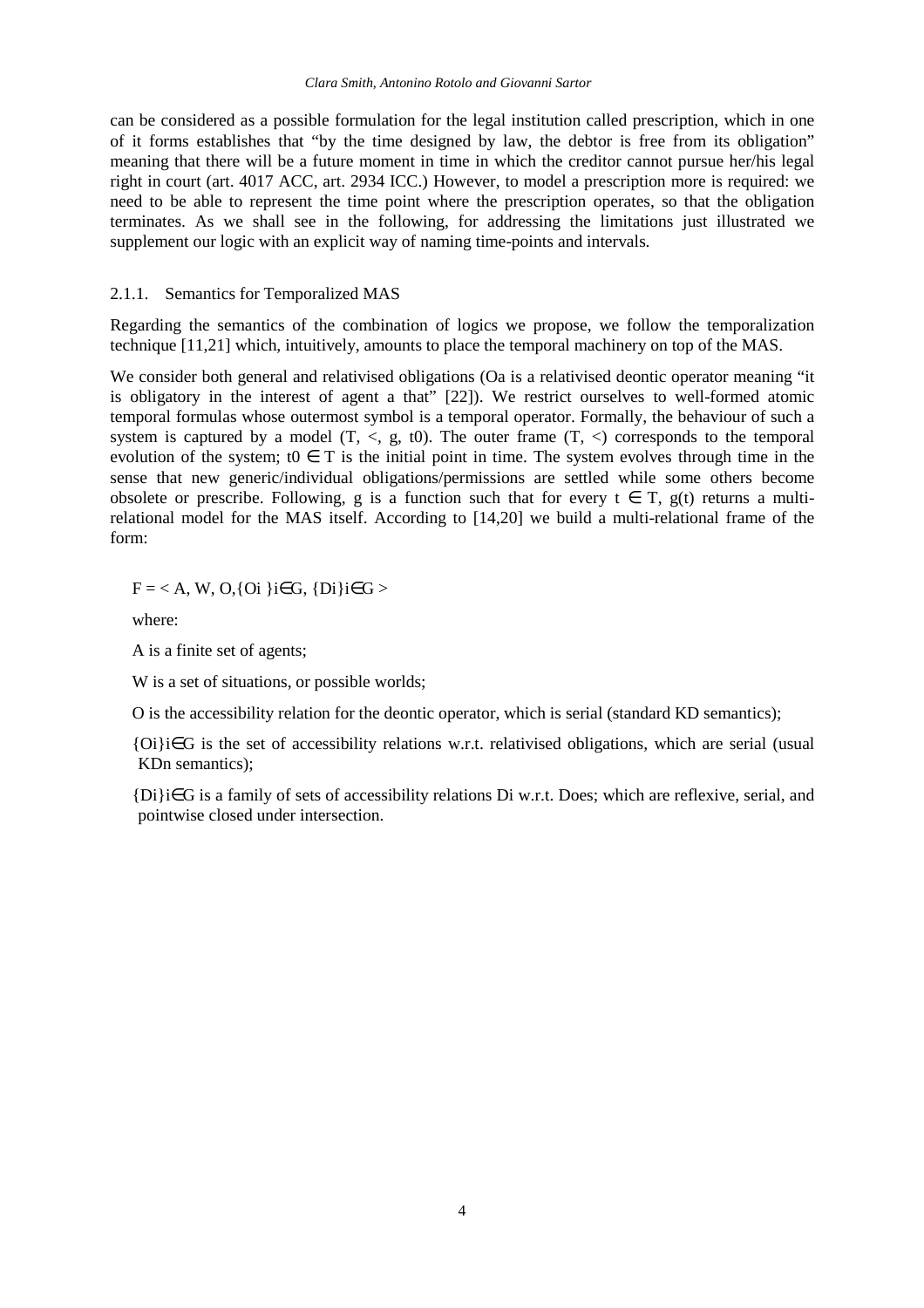can be considered as a possible formulation for the legal institution called prescription, which in one of it forms establishes that "by the time designed by law, the debtor is free from its obligation" meaning that there will be a future moment in time in which the creditor cannot pursue her/his legal right in court (art. 4017 ACC, art. 2934 ICC.) However, to model a prescription more is required: we need to be able to represent the time point where the prescription operates, so that the obligation terminates. As we shall see in the following, for addressing the limitations just illustrated we supplement our logic with an explicit way of naming time-points and intervals.

#### 2.1.1. Semantics for Temporalized MAS

Regarding the semantics of the combination of logics we propose, we follow the temporalization technique [11,21] which, intuitively, amounts to place the temporal machinery on top of the MAS.

We consider both general and relativised obligations (Oa is a relativised deontic operator meaning "it") is obligatory in the interest of agent a that" [22]). We restrict ourselves to well-formed atomic temporal formulas whose outermost symbol is a temporal operator. Formally, the behaviour of such a system is captured by a model  $(T, \le, g, t0)$ . The outer frame  $(T, \le)$  corresponds to the temporal evolution of the system; t0  $\in$  T is the initial point in time. The system evolves through time in the sense that new generic/individual obligations/permissions are settled while some others become obsolete or prescribe. Following, g is a function such that for every  $t \in T$ , g(t) returns a multirelational model for the MAS itself. According to [14,20] we build a multi-relational frame of the form:

 $F = < A$ , W, O, {Oi }i $\in G$ , {Di}i $\in G$  >

where:

A is a finite set of agents;

W is a set of situations, or possible worlds;

O is the accessibility relation for the deontic operator, which is serial (standard KD semantics);

{Oi}i∈G is the set of accessibility relations w.r.t. relativised obligations, which are serial (usual KDn semantics);

{Di}i∈G is a family of sets of accessibility relations Di w.r.t. Does; which are reflexive, serial, and pointwise closed under intersection.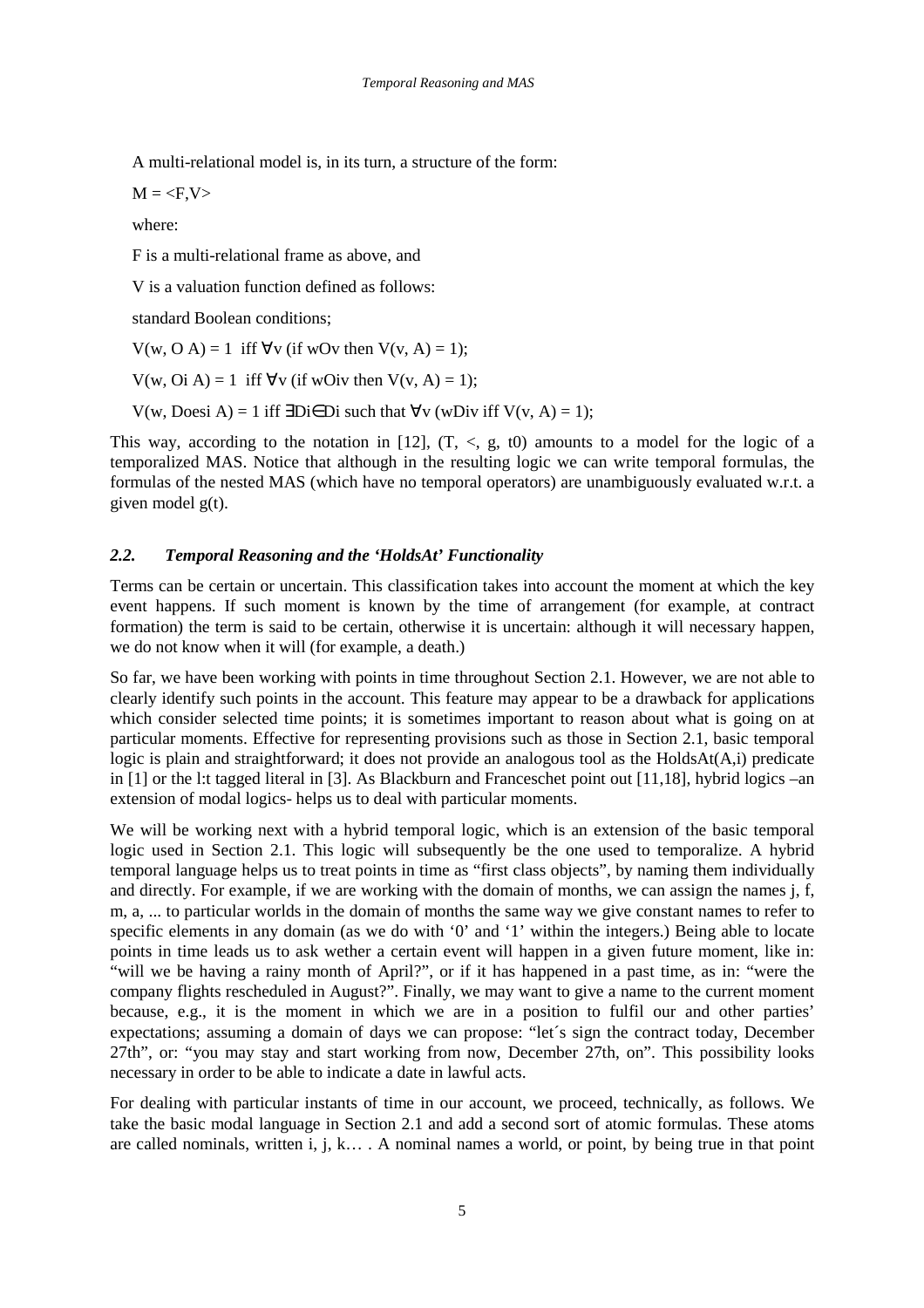A multi-relational model is, in its turn, a structure of the form:

 $M =$ 

where:

F is a multi-relational frame as above, and

V is a valuation function defined as follows:

standard Boolean conditions;

 $V(w, O A) = 1$  iff  $\forall v$  (if wOv then  $V(v, A) = 1$ );

 $V(w, Oi A) = 1$  iff  $\forall v$  (if wOiv then  $V(v, A) = 1$ );

 $V(w, Does i A) = 1$  iff ∃Di∈Di such that  $\forall v$  (wDiv iff  $V(v, A) = 1$ );

This way, according to the notation in [12],  $(T, \langle, g, t \rangle)$  amounts to a model for the logic of a temporalized MAS. Notice that although in the resulting logic we can write temporal formulas, the formulas of the nested MAS (which have no temporal operators) are unambiguously evaluated w.r.t. a given model g(t).

## *2.2. Temporal Reasoning and the 'HoldsAt' Functionality*

Terms can be certain or uncertain. This classification takes into account the moment at which the key event happens. If such moment is known by the time of arrangement (for example, at contract formation) the term is said to be certain, otherwise it is uncertain: although it will necessary happen, we do not know when it will (for example, a death.)

So far, we have been working with points in time throughout Section 2.1. However, we are not able to clearly identify such points in the account. This feature may appear to be a drawback for applications which consider selected time points; it is sometimes important to reason about what is going on at particular moments. Effective for representing provisions such as those in Section 2.1, basic temporal logic is plain and straightforward; it does not provide an analogous tool as the HoldsAt(A,i) predicate in [1] or the l:t tagged literal in [3]. As Blackburn and Franceschet point out [11,18], hybrid logics –an extension of modal logics- helps us to deal with particular moments.

We will be working next with a hybrid temporal logic, which is an extension of the basic temporal logic used in Section 2.1. This logic will subsequently be the one used to temporalize. A hybrid temporal language helps us to treat points in time as "first class objects", by naming them individually and directly. For example, if we are working with the domain of months, we can assign the names j, f, m, a, ... to particular worlds in the domain of months the same way we give constant names to refer to specific elements in any domain (as we do with '0' and '1' within the integers.) Being able to locate points in time leads us to ask wether a certain event will happen in a given future moment, like in: "will we be having a rainy month of April?", or if it has happened in a past time, as in: "were the company flights rescheduled in August?". Finally, we may want to give a name to the current moment because, e.g., it is the moment in which we are in a position to fulfil our and other parties' expectations; assuming a domain of days we can propose: "let´s sign the contract today, December 27th", or: "you may stay and start working from now, December 27th, on". This possibility looks necessary in order to be able to indicate a date in lawful acts.

For dealing with particular instants of time in our account, we proceed, technically, as follows. We take the basic modal language in Section 2.1 and add a second sort of atomic formulas. These atoms are called nominals, written i, j, k… . A nominal names a world, or point, by being true in that point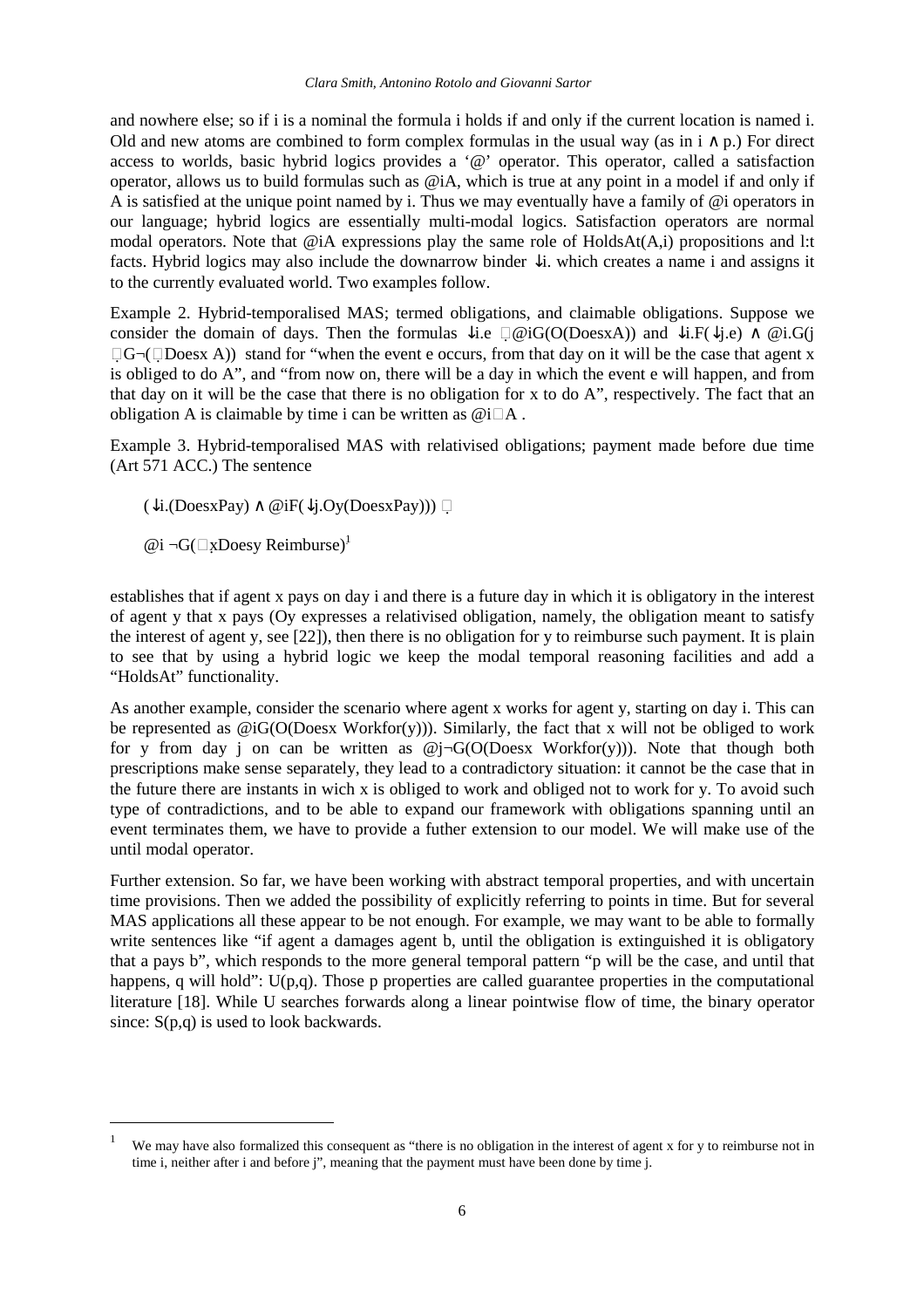and nowhere else; so if i is a nominal the formula i holds if and only if the current location is named i. Old and new atoms are combined to form complex formulas in the usual way (as in  $i \wedge p$ .) For direct access to worlds, basic hybrid logics provides a '@' operator. This operator, called a satisfaction operator, allows us to build formulas such as @iA, which is true at any point in a model if and only if A is satisfied at the unique point named by i. Thus we may eventually have a family of @i operators in our language; hybrid logics are essentially multi-modal logics. Satisfaction operators are normal modal operators. Note that  $@iA$  expressions play the same role of HoldsAt $(A,i)$  propositions and l:t facts. Hybrid logics may also include the downarrow binder ↓i. which creates a name i and assigns it to the currently evaluated world. Two examples follow.

Example 2. Hybrid-temporalised MAS; termed obligations, and claimable obligations. Suppose we consider the domain of days. Then the formulas  $\downarrow i.e$   $\Box$  @iG(O(DoesxA)) and  $\downarrow i.F(\downarrow j.e) \land$  @i.G(j  $\Box G\neg(\Box Doesx A)$  stand for "when the event e occurs, from that day on it will be the case that agent x is obliged to do A", and "from now on, there will be a day in which the event e will happen, and from that day on it will be the case that there is no obligation for x to do A", respectively. The fact that an obligation A is claimable by time i can be written as  $@i\Box A$ .

Example 3. Hybrid-temporalised MAS with relativised obligations; payment made before due time (Art 571 ACC.) The sentence

- $(\downarrow i.(\text{DoesxPay}) \wedge @iF(\downarrow i. Oy(\text{DoesxPay})))$
- $@i \neg G($   $\Box$ xDoesy Reimburse)<sup>1</sup>

 $\overline{a}$ 

establishes that if agent x pays on day i and there is a future day in which it is obligatory in the interest of agent y that x pays (Oy expresses a relativised obligation, namely, the obligation meant to satisfy the interest of agent y, see [22]), then there is no obligation for y to reimburse such payment. It is plain to see that by using a hybrid logic we keep the modal temporal reasoning facilities and add a "HoldsAt" functionality.

As another example, consider the scenario where agent x works for agent y, starting on day i. This can be represented as  $\mathcal{Q}$ iG(O(Doesx Workfor(y))). Similarly, the fact that x will not be obliged to work for y from day j on can be written as  $\mathcal{Q}$ j $\neg$ G(O(Doesx Workfor(y))). Note that though both prescriptions make sense separately, they lead to a contradictory situation: it cannot be the case that in the future there are instants in wich x is obliged to work and obliged not to work for y. To avoid such type of contradictions, and to be able to expand our framework with obligations spanning until an event terminates them, we have to provide a futher extension to our model. We will make use of the until modal operator.

Further extension. So far, we have been working with abstract temporal properties, and with uncertain time provisions. Then we added the possibility of explicitly referring to points in time. But for several MAS applications all these appear to be not enough. For example, we may want to be able to formally write sentences like "if agent a damages agent b, until the obligation is extinguished it is obligatory that a pays b", which responds to the more general temporal pattern "p will be the case, and until that happens, q will hold":  $U(p,q)$ . Those p properties are called guarantee properties in the computational literature [18]. While U searches forwards along a linear pointwise flow of time, the binary operator since:  $S(p,q)$  is used to look backwards.

<sup>1</sup> We may have also formalized this consequent as "there is no obligation in the interest of agent x for y to reimburse not in time i, neither after i and before j", meaning that the payment must have been done by time j.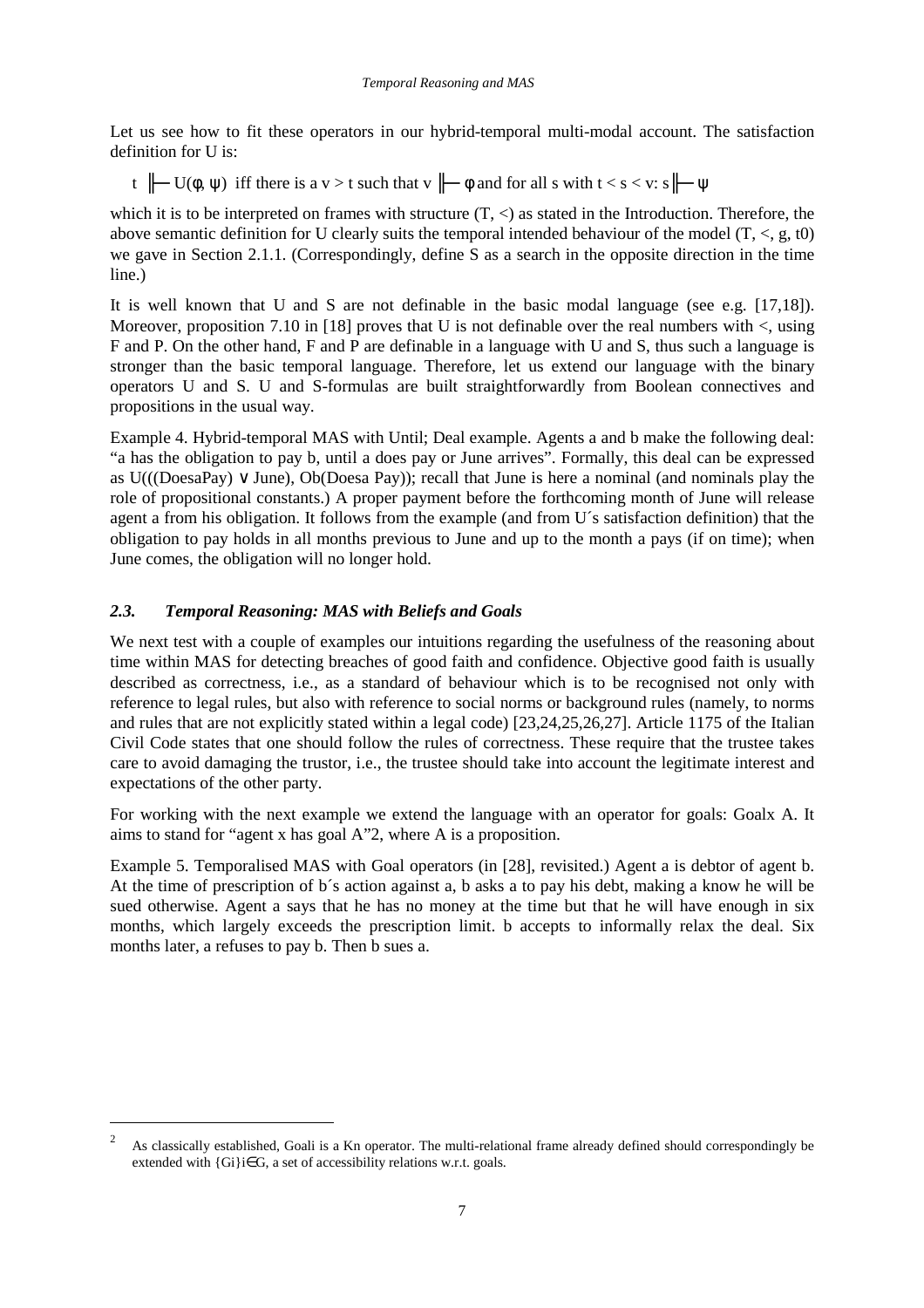Let us see how to fit these operators in our hybrid-temporal multi-modal account. The satisfaction definition for U is:

t  $\|\text{-} U(\phi, \psi)$  iff there is a v > t such that v  $\|\text{-} \phi$  and for all s with t < s < v: s $\|\text{-} \psi$ 

which it is to be interpreted on frames with structure  $(T, \leq)$  as stated in the Introduction. Therefore, the above semantic definition for U clearly suits the temporal intended behaviour of the model  $(T, <, g, t0)$ we gave in Section 2.1.1. (Correspondingly, define S as a search in the opposite direction in the time line.)

It is well known that U and S are not definable in the basic modal language (see e.g. [17,18]). Moreover, proposition 7.10 in [18] proves that U is not definable over the real numbers with  $\lt$ , using F and P. On the other hand, F and P are definable in a language with U and S, thus such a language is stronger than the basic temporal language. Therefore, let us extend our language with the binary operators U and S. U and S-formulas are built straightforwardly from Boolean connectives and propositions in the usual way.

Example 4. Hybrid-temporal MAS with Until; Deal example. Agents a and b make the following deal: "a has the obligation to pay b, until a does pay or June arrives". Formally, this deal can be expressed as U(((DoesaPay) ∨ June), Ob(Doesa Pay)); recall that June is here a nominal (and nominals play the role of propositional constants.) A proper payment before the forthcoming month of June will release agent a from his obligation. It follows from the example (and from U´s satisfaction definition) that the obligation to pay holds in all months previous to June and up to the month a pays (if on time); when June comes, the obligation will no longer hold.

## *2.3. Temporal Reasoning: MAS with Beliefs and Goals*

 $\overline{a}$ 

We next test with a couple of examples our intuitions regarding the usefulness of the reasoning about time within MAS for detecting breaches of good faith and confidence. Objective good faith is usually described as correctness, i.e., as a standard of behaviour which is to be recognised not only with reference to legal rules, but also with reference to social norms or background rules (namely, to norms and rules that are not explicitly stated within a legal code) [23,24,25,26,27]. Article 1175 of the Italian Civil Code states that one should follow the rules of correctness. These require that the trustee takes care to avoid damaging the trustor, i.e., the trustee should take into account the legitimate interest and expectations of the other party.

For working with the next example we extend the language with an operator for goals: Goalx A. It aims to stand for "agent x has goal A"2, where A is a proposition.

Example 5. Temporalised MAS with Goal operators (in [28], revisited.) Agent a is debtor of agent b. At the time of prescription of b´s action against a, b asks a to pay his debt, making a know he will be sued otherwise. Agent a says that he has no money at the time but that he will have enough in six months, which largely exceeds the prescription limit. b accepts to informally relax the deal. Six months later, a refuses to pay b. Then b sues a.

<sup>2</sup> As classically established, Goali is a Kn operator. The multi-relational frame already defined should correspondingly be extended with {Gi}i∈G, a set of accessibility relations w.r.t. goals.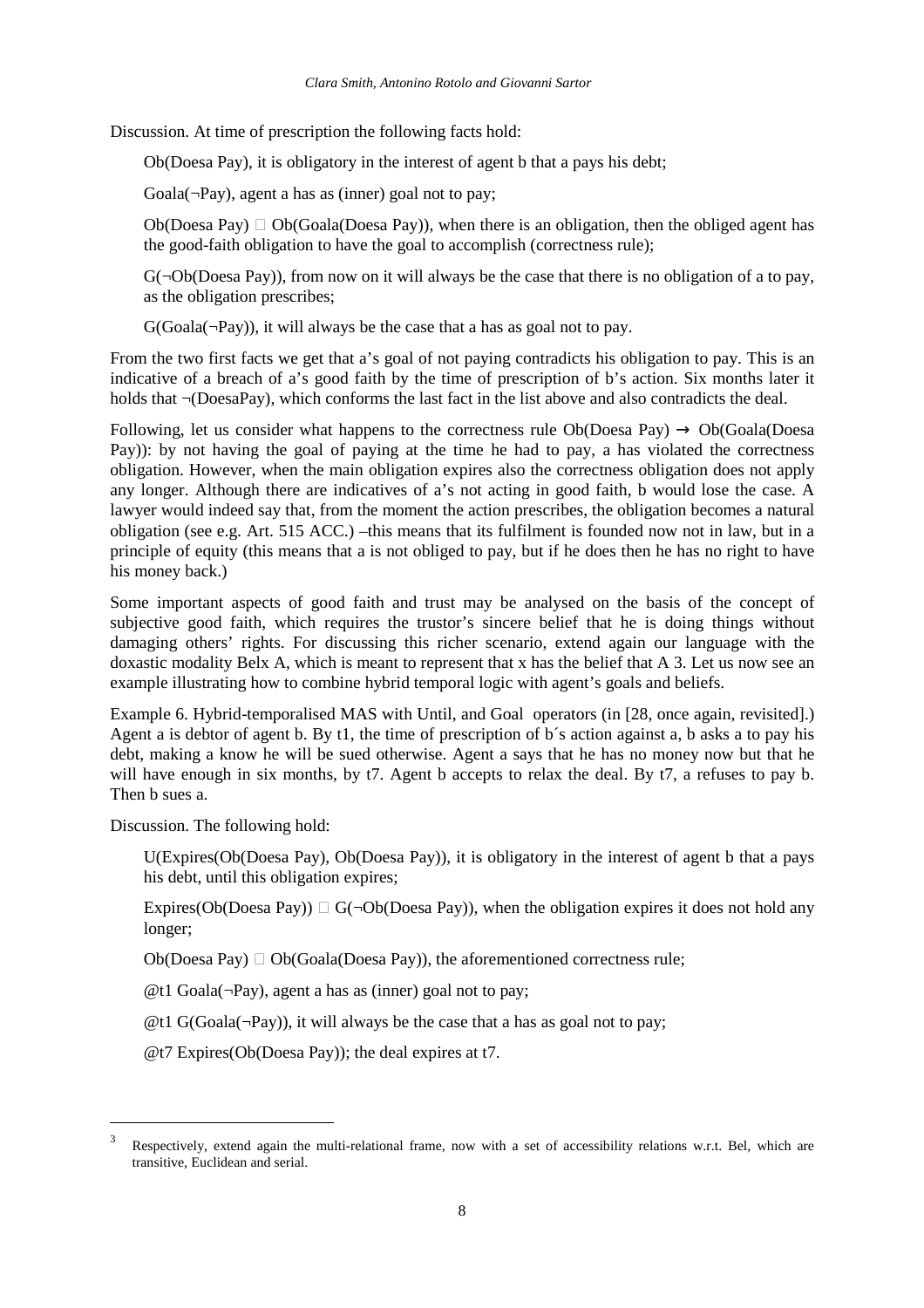Discussion. At time of prescription the following facts hold:

Ob(Doesa Pay), it is obligatory in the interest of agent b that a pays his debt;

Goala( $\neg Pay$ ), agent a has as (inner) goal not to pay;

Ob(Doesa Pay)  $\Box$  Ob(Goala(Doesa Pay)), when there is an obligation, then the obliged agent has the good-faith obligation to have the goal to accomplish (correctness rule);

 $G(\neg Ob(Doesa Pay))$ , from now on it will always be the case that there is no obligation of a to pay, as the obligation prescribes;

 $G(Goala(\neg Pay))$ , it will always be the case that a has as goal not to pay.

From the two first facts we get that a's goal of not paying contradicts his obligation to pay. This is an indicative of a breach of a's good faith by the time of prescription of b's action. Six months later it holds that ¬(DoesaPay), which conforms the last fact in the list above and also contradicts the deal.

Following, let us consider what happens to the correctness rule Ob(Doesa Pay)  $\rightarrow$  Ob(Goala(Doesa Pay)): by not having the goal of paying at the time he had to pay, a has violated the correctness obligation. However, when the main obligation expires also the correctness obligation does not apply any longer. Although there are indicatives of a's not acting in good faith, b would lose the case. A lawyer would indeed say that, from the moment the action prescribes, the obligation becomes a natural obligation (see e.g. Art. 515 ACC.) –this means that its fulfilment is founded now not in law, but in a principle of equity (this means that a is not obliged to pay, but if he does then he has no right to have his money back.)

Some important aspects of good faith and trust may be analysed on the basis of the concept of subjective good faith, which requires the trustor's sincere belief that he is doing things without damaging others' rights. For discussing this richer scenario, extend again our language with the doxastic modality Belx A, which is meant to represent that x has the belief that A 3. Let us now see an example illustrating how to combine hybrid temporal logic with agent's goals and beliefs.

Example 6. Hybrid-temporalised MAS with Until, and Goal operators (in [28, once again, revisited].) Agent a is debtor of agent b. By t1, the time of prescription of b´s action against a, b asks a to pay his debt, making a know he will be sued otherwise. Agent a says that he has no money now but that he will have enough in six months, by t7. Agent b accepts to relax the deal. By t7, a refuses to pay b. Then b sues a.

Discussion. The following hold:

 $\overline{a}$ 

 U(Expires(Ob(Doesa Pay), Ob(Doesa Pay)), it is obligatory in the interest of agent b that a pays his debt, until this obligation expires;

Expires(Ob(Doesa Pay))  $\Box$  G( $\neg$ Ob(Doesa Pay)), when the obligation expires it does not hold any longer;

Ob(Doesa Pay)  $\Box$  Ob(Goala(Doesa Pay)), the aforementioned correctness rule;

 $@t1$  Goala( $\neg$ Pay), agent a has as (inner) goal not to pay;

 $@t1 G(Goala(\neg Pay))$ , it will always be the case that a has as goal not to pay;

@t7 Expires(Ob(Doesa Pay)); the deal expires at t7.

<sup>3</sup> Respectively, extend again the multi-relational frame, now with a set of accessibility relations w.r.t. Bel, which are transitive, Euclidean and serial.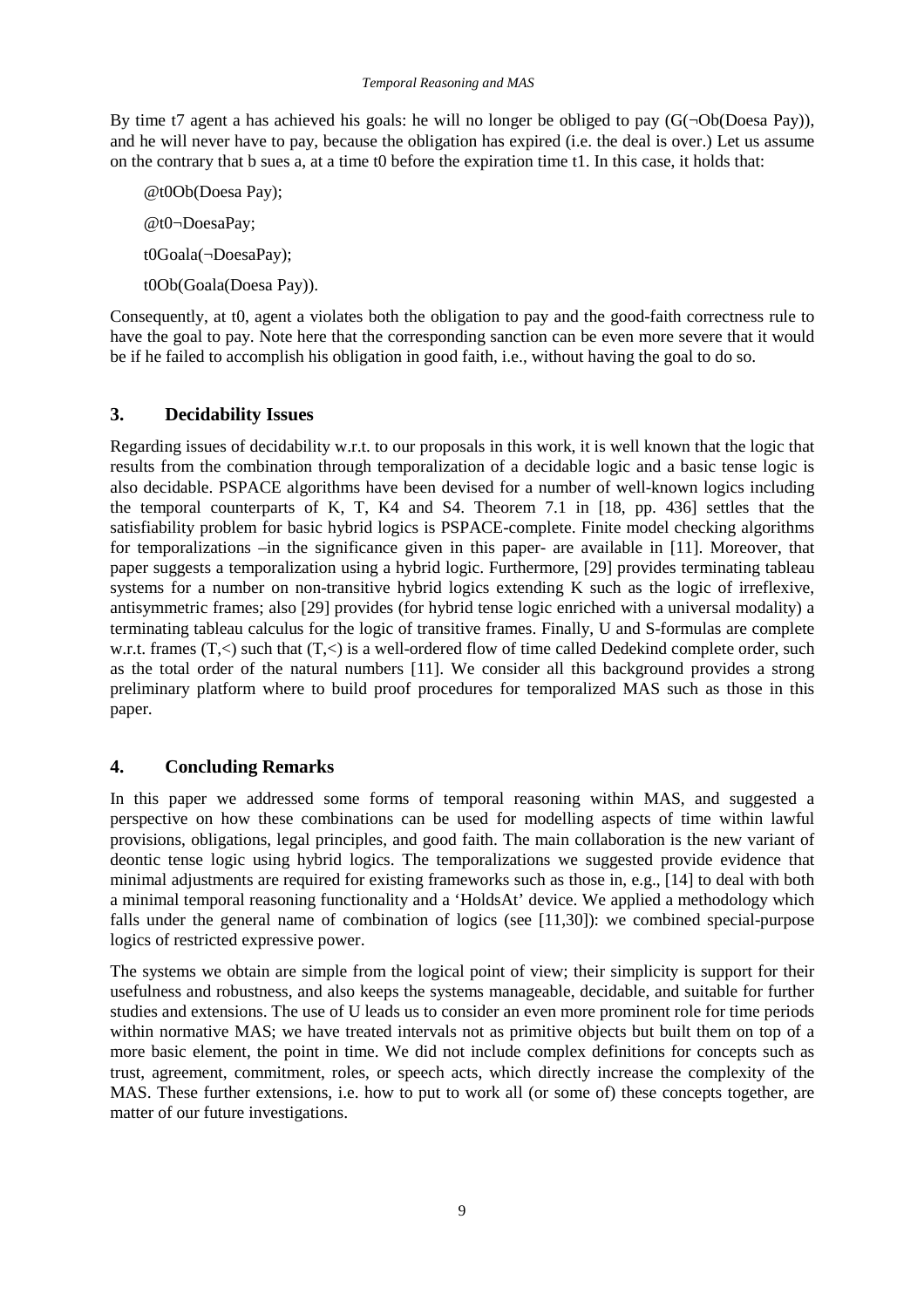By time t7 agent a has achieved his goals: he will no longer be obliged to pay  $(G(\neg Ob(Doesa Pay)),$ and he will never have to pay, because the obligation has expired (i.e. the deal is over.) Let us assume on the contrary that b sues a, at a time t0 before the expiration time t1. In this case, it holds that:

 @t0Ob(Doesa Pay); @t0¬DoesaPay; t0Goala(¬DoesaPay); t0Ob(Goala(Doesa Pay)).

Consequently, at t0, agent a violates both the obligation to pay and the good-faith correctness rule to have the goal to pay. Note here that the corresponding sanction can be even more severe that it would be if he failed to accomplish his obligation in good faith, i.e., without having the goal to do so.

# **3. Decidability Issues**

Regarding issues of decidability w.r.t. to our proposals in this work, it is well known that the logic that results from the combination through temporalization of a decidable logic and a basic tense logic is also decidable. PSPACE algorithms have been devised for a number of well-known logics including the temporal counterparts of K, T, K4 and S4. Theorem 7.1 in [18, pp. 436] settles that the satisfiability problem for basic hybrid logics is PSPACE-complete. Finite model checking algorithms for temporalizations –in the significance given in this paper- are available in [11]. Moreover, that paper suggests a temporalization using a hybrid logic. Furthermore, [29] provides terminating tableau systems for a number on non-transitive hybrid logics extending K such as the logic of irreflexive, antisymmetric frames; also [29] provides (for hybrid tense logic enriched with a universal modality) a terminating tableau calculus for the logic of transitive frames. Finally, U and S-formulas are complete w.r.t. frames  $(T, <)$  such that  $(T, <)$  is a well-ordered flow of time called Dedekind complete order, such as the total order of the natural numbers [11]. We consider all this background provides a strong preliminary platform where to build proof procedures for temporalized MAS such as those in this paper.

# **4. Concluding Remarks**

In this paper we addressed some forms of temporal reasoning within MAS, and suggested a perspective on how these combinations can be used for modelling aspects of time within lawful provisions, obligations, legal principles, and good faith. The main collaboration is the new variant of deontic tense logic using hybrid logics. The temporalizations we suggested provide evidence that minimal adjustments are required for existing frameworks such as those in, e.g., [14] to deal with both a minimal temporal reasoning functionality and a 'HoldsAt' device. We applied a methodology which falls under the general name of combination of logics (see [11,30]): we combined special-purpose logics of restricted expressive power.

The systems we obtain are simple from the logical point of view; their simplicity is support for their usefulness and robustness, and also keeps the systems manageable, decidable, and suitable for further studies and extensions. The use of U leads us to consider an even more prominent role for time periods within normative MAS; we have treated intervals not as primitive objects but built them on top of a more basic element, the point in time. We did not include complex definitions for concepts such as trust, agreement, commitment, roles, or speech acts, which directly increase the complexity of the MAS. These further extensions, i.e. how to put to work all (or some of) these concepts together, are matter of our future investigations.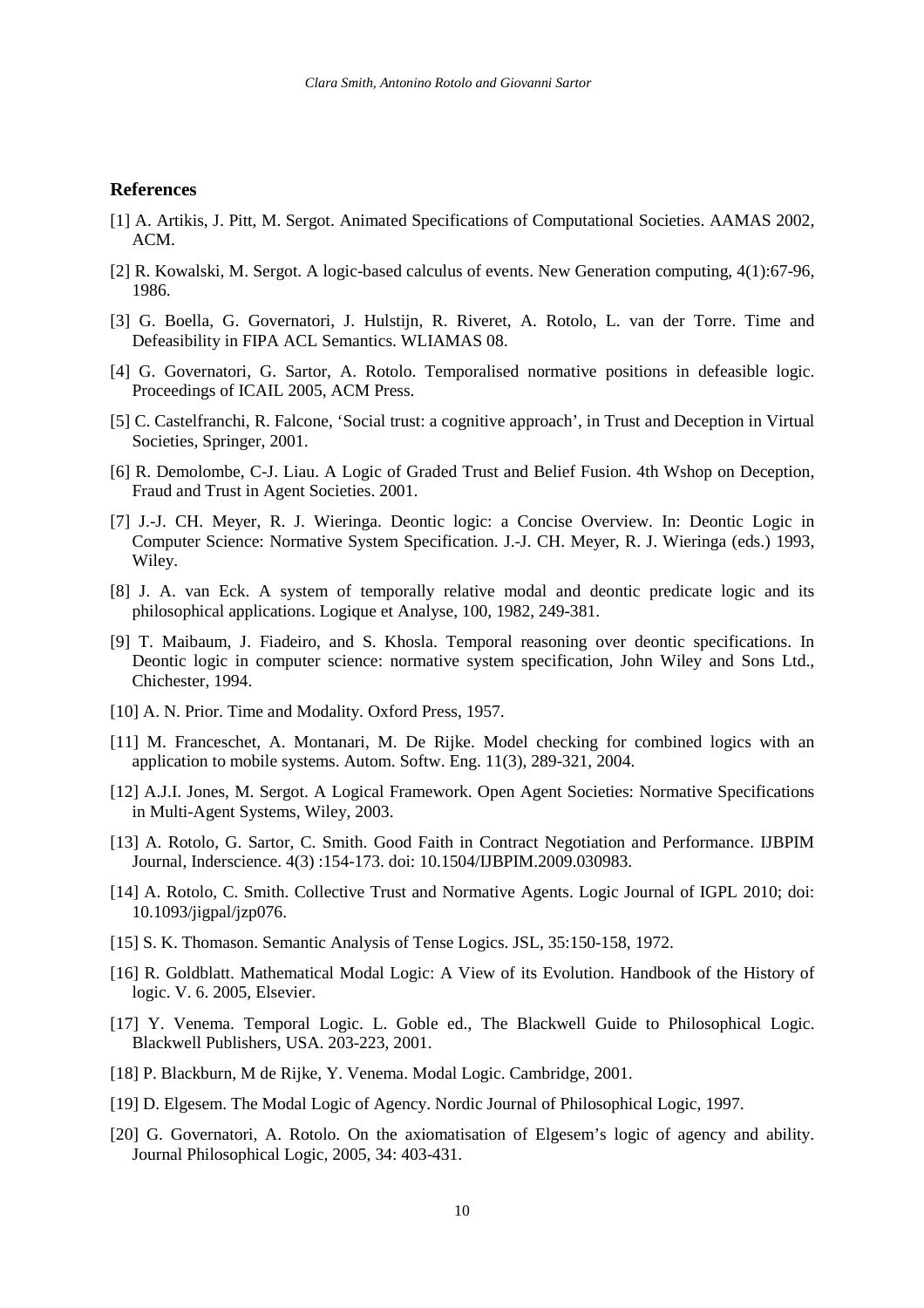#### **References**

- [1] A. Artikis, J. Pitt, M. Sergot. Animated Specifications of Computational Societies. AAMAS 2002, ACM.
- [2] R. Kowalski, M. Sergot. A logic-based calculus of events. New Generation computing, 4(1):67-96, 1986.
- [3] G. Boella, G. Governatori, J. Hulstijn, R. Riveret, A. Rotolo, L. van der Torre. Time and Defeasibility in FIPA ACL Semantics. WLIAMAS 08.
- [4] G. Governatori, G. Sartor, A. Rotolo. Temporalised normative positions in defeasible logic. Proceedings of ICAIL 2005, ACM Press.
- [5] C. Castelfranchi, R. Falcone, 'Social trust: a cognitive approach', in Trust and Deception in Virtual Societies, Springer, 2001.
- [6] R. Demolombe, C-J. Liau. A Logic of Graded Trust and Belief Fusion. 4th Wshop on Deception, Fraud and Trust in Agent Societies. 2001.
- [7] J.-J. CH. Meyer, R. J. Wieringa. Deontic logic: a Concise Overview. In: Deontic Logic in Computer Science: Normative System Specification. J.-J. CH. Meyer, R. J. Wieringa (eds.) 1993, Wiley.
- [8] J. A. van Eck. A system of temporally relative modal and deontic predicate logic and its philosophical applications. Logique et Analyse, 100, 1982, 249-381.
- [9] T. Maibaum, J. Fiadeiro, and S. Khosla. Temporal reasoning over deontic specifications. In Deontic logic in computer science: normative system specification, John Wiley and Sons Ltd., Chichester, 1994.
- [10] A. N. Prior. Time and Modality. Oxford Press, 1957.
- [11] M. Franceschet, A. Montanari, M. De Rijke. Model checking for combined logics with an application to mobile systems. Autom. Softw. Eng. 11(3), 289-321, 2004.
- [12] A.J.I. Jones, M. Sergot. A Logical Framework. Open Agent Societies: Normative Specifications in Multi-Agent Systems, Wiley, 2003.
- [13] A. Rotolo, G. Sartor, C. Smith. Good Faith in Contract Negotiation and Performance. IJBPIM Journal, Inderscience. 4(3) :154-173. doi: 10.1504/IJBPIM.2009.030983.
- [14] A. Rotolo, C. Smith. Collective Trust and Normative Agents. Logic Journal of IGPL 2010; doi: 10.1093/jigpal/jzp076.
- [15] S. K. Thomason. Semantic Analysis of Tense Logics. JSL, 35:150-158, 1972.
- [16] R. Goldblatt. Mathematical Modal Logic: A View of its Evolution. Handbook of the History of logic. V. 6. 2005, Elsevier.
- [17] Y. Venema. Temporal Logic. L. Goble ed., The Blackwell Guide to Philosophical Logic. Blackwell Publishers, USA. 203-223, 2001.
- [18] P. Blackburn, M de Rijke, Y. Venema. Modal Logic. Cambridge, 2001.
- [19] D. Elgesem. The Modal Logic of Agency. Nordic Journal of Philosophical Logic, 1997.
- [20] G. Governatori, A. Rotolo. On the axiomatisation of Elgesem's logic of agency and ability. Journal Philosophical Logic, 2005, 34: 403-431.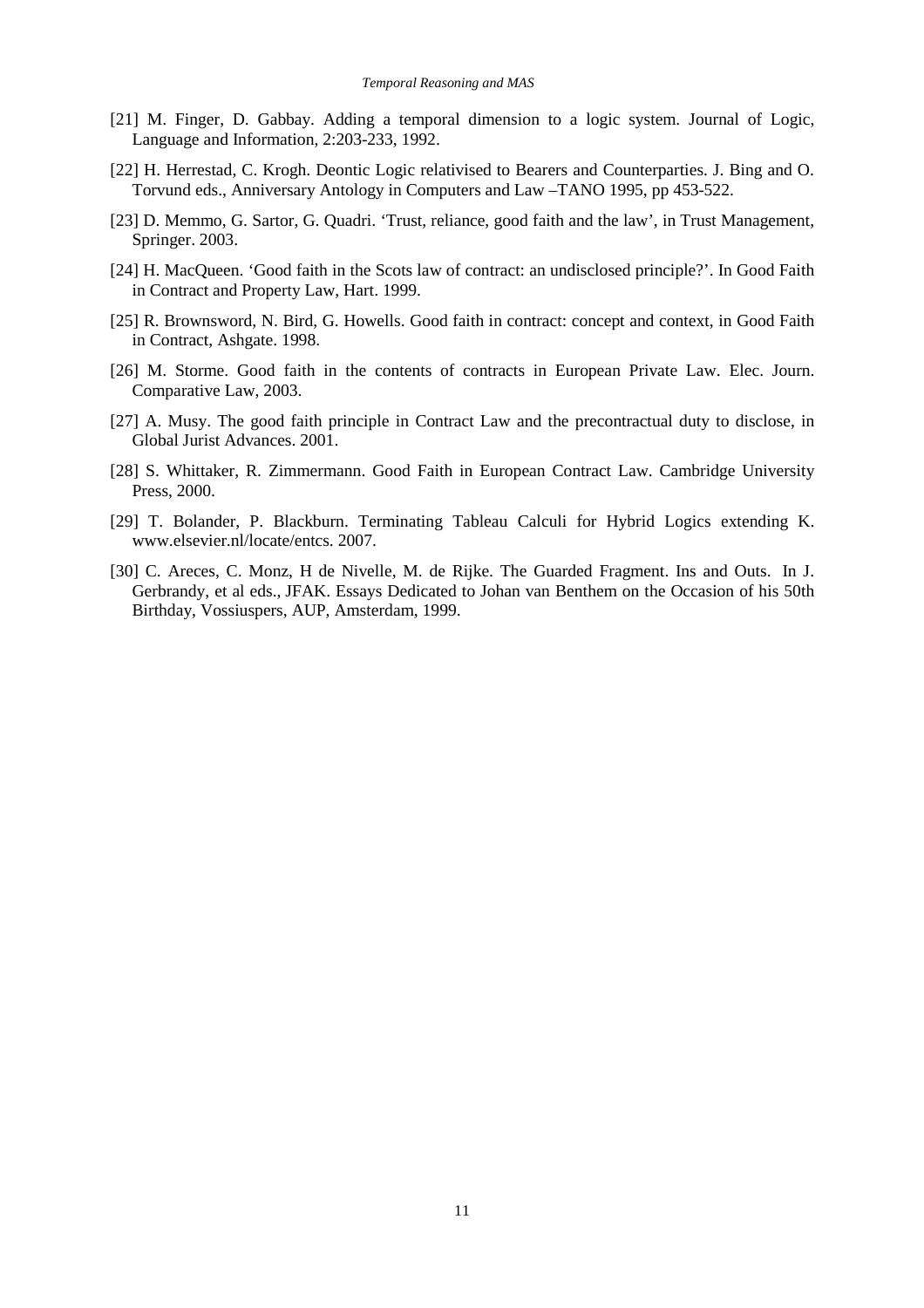- [21] M. Finger, D. Gabbay. Adding a temporal dimension to a logic system. Journal of Logic, Language and Information, 2:203-233, 1992.
- [22] H. Herrestad, C. Krogh. Deontic Logic relativised to Bearers and Counterparties. J. Bing and O. Torvund eds., Anniversary Antology in Computers and Law –TANO 1995, pp 453-522.
- [23] D. Memmo, G. Sartor, G. Quadri. 'Trust, reliance, good faith and the law', in Trust Management, Springer. 2003.
- [24] H. MacQueen. 'Good faith in the Scots law of contract: an undisclosed principle?'. In Good Faith in Contract and Property Law, Hart. 1999.
- [25] R. Brownsword, N. Bird, G. Howells. Good faith in contract: concept and context, in Good Faith in Contract, Ashgate. 1998.
- [26] M. Storme. Good faith in the contents of contracts in European Private Law. Elec. Journ. Comparative Law, 2003.
- [27] A. Musy. The good faith principle in Contract Law and the precontractual duty to disclose, in Global Jurist Advances. 2001.
- [28] S. Whittaker, R. Zimmermann. Good Faith in European Contract Law. Cambridge University Press, 2000.
- [29] T. Bolander, P. Blackburn. Terminating Tableau Calculi for Hybrid Logics extending K. www.elsevier.nl/locate/entcs. 2007.
- [30] C. Areces, C. Monz, H de Nivelle, M. de Rijke. The Guarded Fragment. Ins and Outs. In J. Gerbrandy, et al eds., JFAK. Essays Dedicated to Johan van Benthem on the Occasion of his 50th Birthday, Vossiuspers, AUP, Amsterdam, 1999.